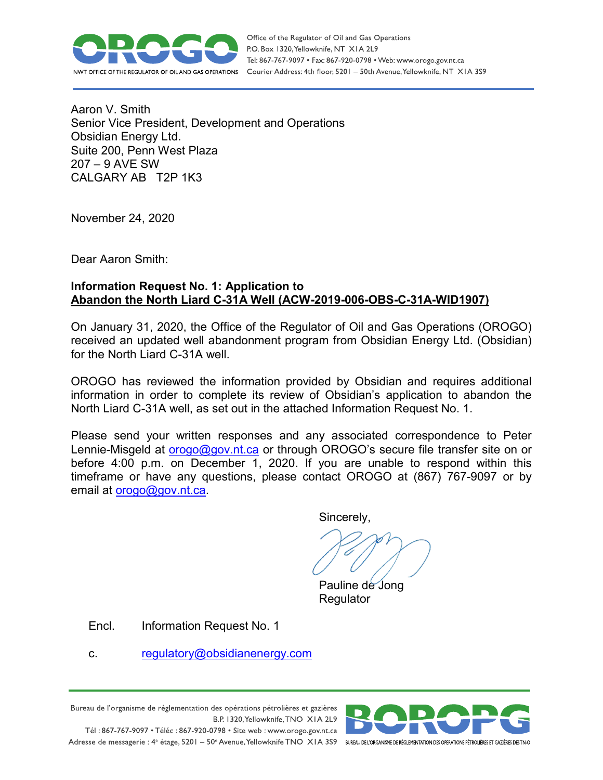

Office of the Regulator of Oil and Gas Operations P.O. Box 1320, Yellowknife, NT XIA 2L9 Tel: 867-767-9097 • Fax: 867-920-0798 • Web: www.orogo.gov.nt.ca Courier Address: 4th floor, 5201 - 50th Avenue, Yellowknife, NT XIA 3S9

Aaron V. Smith Senior Vice President, Development and Operations Obsidian Energy Ltd. Suite 200, Penn West Plaza 207 – 9 AVE SW CALGARY AB T2P 1K3

November 24, 2020

Dear Aaron Smith:

# **Information Request No. 1: Application to Abandon the North Liard C-31A Well (ACW-2019-006-OBS-C-31A-WID1907)**

On January 31, 2020, the Office of the Regulator of Oil and Gas Operations (OROGO) received an updated well abandonment program from Obsidian Energy Ltd. (Obsidian) for the North Liard C-31A well.

OROGO has reviewed the information provided by Obsidian and requires additional information in order to complete its review of Obsidian's application to abandon the North Liard C-31A well, as set out in the attached Information Request No. 1.

Please send your written responses and any associated correspondence to Peter Lennie-Misgeld at [orogo@gov.nt.ca](mailto:orogo@gov.nt.ca) or through OROGO's secure file transfer site on or before 4:00 p.m. on December 1, 2020. If you are unable to respond within this timeframe or have any questions, please contact OROGO at (867) 767-9097 or by email at [orogo@gov.nt.ca.](mailto:orogo@gov.nt.ca)

Sincerely,

 Pauline de Jong **Regulator** 

Encl. Information Request No. 1

c. regulatory@obsidianenergy.com

Bureau de l'organisme de réglementation des opérations pétrolières et gazières B.P. 1320, Yellowknife, TNO XIA 2L9 Tél: 867-767-9097 • Téléc: 867-920-0798 • Site web: www.orogo.gov.nt.ca

Adresse de messagerie : 4<sup>e</sup> étage, 5201 - 50° Avenue, Yellowknife TNO XIA 3S9 BUREAU DEL'ORGANISME DE RÉGLEMENTATION DES OPERATIONS PÉTROLIÈRES ET GAZIÈRES DESTNO